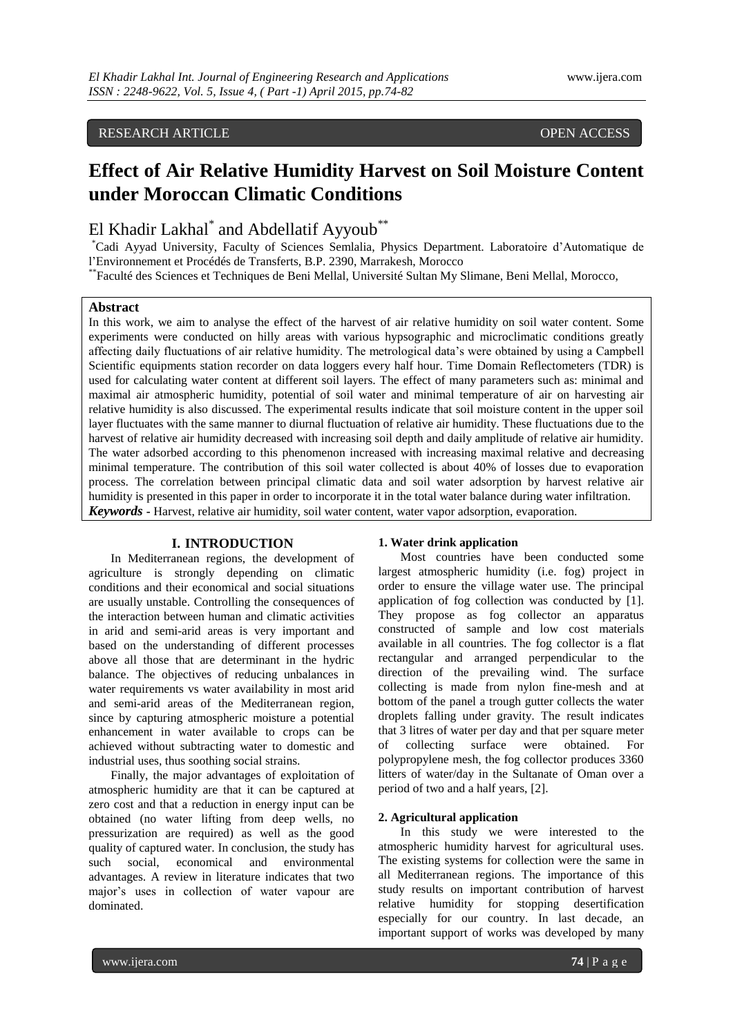# RESEARCH ARTICLE OPEN ACCESS

# **Effect of Air Relative Humidity Harvest on Soil Moisture Content under Moroccan Climatic Conditions**

# El Khadir Lakhal<sup>\*</sup> and Abdellatif Ayyoub<sup>\*\*</sup>

\*Cadi Ayyad University, Faculty of Sciences Semlalia, Physics Department. Laboratoire d'Automatique de l'Environnement et Procédés de Transferts, B.P. 2390, Marrakesh, Morocco

\*\*Faculté des Sciences et Techniques de Beni Mellal, Université Sultan My Slimane, Beni Mellal, Morocco,

# **Abstract**

In this work, we aim to analyse the effect of the harvest of air relative humidity on soil water content. Some experiments were conducted on hilly areas with various hypsographic and microclimatic conditions greatly affecting daily fluctuations of air relative humidity. The metrological data's were obtained by using a Campbell Scientific equipments station recorder on data loggers every half hour. Time Domain Reflectometers (TDR) is used for calculating water content at different soil layers. The effect of many parameters such as: minimal and maximal air atmospheric humidity, potential of soil water and minimal temperature of air on harvesting air relative humidity is also discussed. The experimental results indicate that soil moisture content in the upper soil layer fluctuates with the same manner to diurnal fluctuation of relative air humidity. These fluctuations due to the harvest of relative air humidity decreased with increasing soil depth and daily amplitude of relative air humidity. The water adsorbed according to this phenomenon increased with increasing maximal relative and decreasing minimal temperature. The contribution of this soil water collected is about 40% of losses due to evaporation process. The correlation between principal climatic data and soil water adsorption by harvest relative air humidity is presented in this paper in order to incorporate it in the total water balance during water infiltration. *Keywords* **-** Harvest, relative air humidity, soil water content, water vapor adsorption, evaporation.

## **I. INTRODUCTION**

In Mediterranean regions, the development of agriculture is strongly depending on climatic conditions and their economical and social situations are usually unstable. Controlling the consequences of the interaction between human and climatic activities in arid and semi-arid areas is very important and based on the understanding of different processes above all those that are determinant in the hydric balance. The objectives of reducing unbalances in water requirements vs water availability in most arid and semi-arid areas of the Mediterranean region, since by capturing atmospheric moisture a potential enhancement in water available to crops can be achieved without subtracting water to domestic and industrial uses, thus soothing social strains.

Finally, the major advantages of exploitation of atmospheric humidity are that it can be captured at zero cost and that a reduction in energy input can be obtained (no water lifting from deep wells, no pressurization are required) as well as the good quality of captured water. In conclusion, the study has such social, economical and environmental advantages. A review in literature indicates that two major's uses in collection of water vapour are dominated.

## **1. Water drink application**

Most countries have been conducted some largest atmospheric humidity (i.e. fog) project in order to ensure the village water use. The principal application of fog collection was conducted by [1]. They propose as fog collector an apparatus constructed of sample and low cost materials available in all countries. The fog collector is a flat rectangular and arranged perpendicular to the direction of the prevailing wind. The surface collecting is made from nylon fine-mesh and at bottom of the panel a trough gutter collects the water droplets falling under gravity. The result indicates that 3 litres of water per day and that per square meter of collecting surface were obtained. For polypropylene mesh, the fog collector produces 3360 litters of water/day in the Sultanate of Oman over a period of two and a half years, [2].

## **2. Agricultural application**

In this study we were interested to the atmospheric humidity harvest for agricultural uses. The existing systems for collection were the same in all Mediterranean regions. The importance of this study results on important contribution of harvest relative humidity for stopping desertification especially for our country. In last decade, an important support of works was developed by many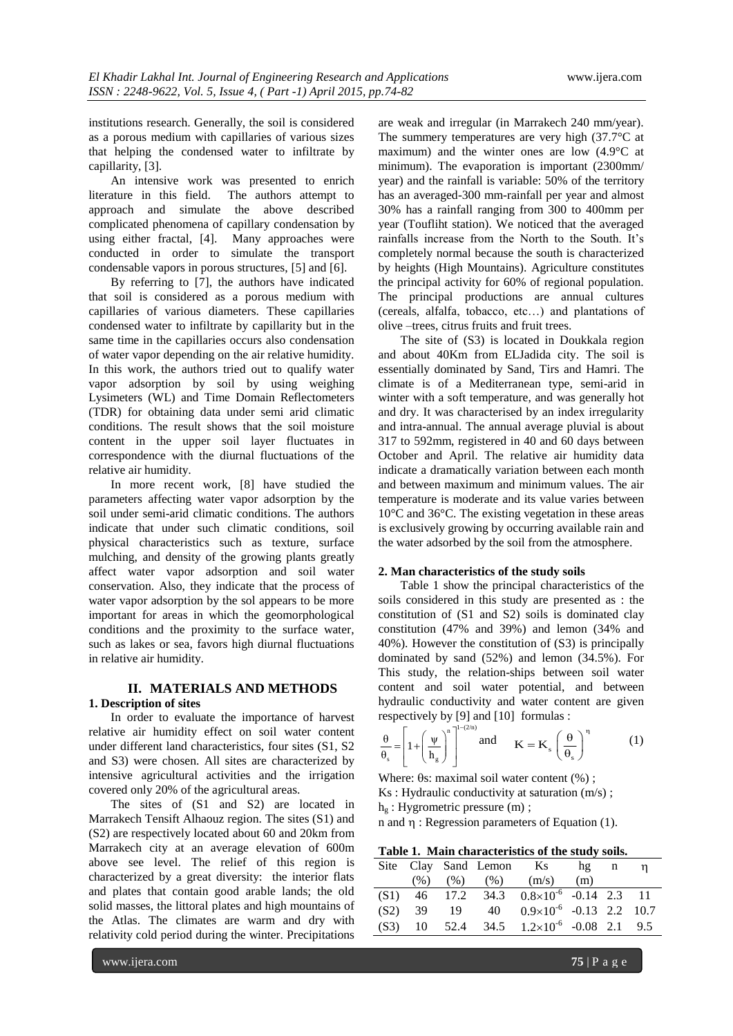institutions research. Generally, the soil is considered as a porous medium with capillaries of various sizes that helping the condensed water to infiltrate by capillarity, [3].

An intensive work was presented to enrich literature in this field. The authors attempt to The authors attempt to approach and simulate the above described complicated phenomena of capillary condensation by using either fractal, [4]. Many approaches were conducted in order to simulate the transport condensable vapors in porous structures, [5] and [6].

By referring to [7], the authors have indicated that soil is considered as a porous medium with capillaries of various diameters. These capillaries condensed water to infiltrate by capillarity but in the same time in the capillaries occurs also condensation of water vapor depending on the air relative humidity. In this work, the authors tried out to qualify water vapor adsorption by soil by using weighing Lysimeters (WL) and Time Domain Reflectometers (TDR) for obtaining data under semi arid climatic conditions. The result shows that the soil moisture content in the upper soil layer fluctuates in correspondence with the diurnal fluctuations of the relative air humidity.

In more recent work, [8] have studied the parameters affecting water vapor adsorption by the soil under semi-arid climatic conditions. The authors indicate that under such climatic conditions, soil physical characteristics such as texture, surface mulching, and density of the growing plants greatly affect water vapor adsorption and soil water conservation. Also, they indicate that the process of water vapor adsorption by the sol appears to be more important for areas in which the geomorphological conditions and the proximity to the surface water, such as lakes or sea, favors high diurnal fluctuations in relative air humidity.

# **II. MATERIALS AND METHODS**

## **1. Description of sites**

In order to evaluate the importance of harvest relative air humidity effect on soil water content under different land characteristics, four sites (S1, S2 and S3) were chosen. All sites are characterized by intensive agricultural activities and the irrigation covered only 20% of the agricultural areas.

The sites of (S1 and S2) are located in Marrakech Tensift Alhaouz region. The sites (S1) and (S2) are respectively located about 60 and 20km from Marrakech city at an average elevation of 600m above see level. The relief of this region is characterized by a great diversity: the interior flats and plates that contain good arable lands; the old solid masses, the littoral plates and high mountains of the Atlas. The climates are warm and dry with relativity cold period during the winter. Precipitations

are weak and irregular (in Marrakech 240 mm/year). The summery temperatures are very high (37.7°C at maximum) and the winter ones are low (4.9°C at minimum). The evaporation is important (2300mm/ year) and the rainfall is variable: 50% of the territory has an averaged-300 mm-rainfall per year and almost 30% has a rainfall ranging from 300 to 400mm per year (Toufliht station). We noticed that the averaged rainfalls increase from the North to the South. It's completely normal because the south is characterized by heights (High Mountains). Agriculture constitutes the principal activity for 60% of regional population. The principal productions are annual cultures (cereals, alfalfa, tobacco, etc…) and plantations of olive –trees, citrus fruits and fruit trees.

The site of (S3) is located in Doukkala region and about 40Km from ELJadida city. The soil is essentially dominated by Sand, Tirs and Hamri. The climate is of a Mediterranean type, semi-arid in winter with a soft temperature, and was generally hot and dry. It was characterised by an index irregularity and intra-annual. The annual average pluvial is about 317 to 592mm, registered in 40 and 60 days between October and April. The relative air humidity data indicate a dramatically variation between each month and between maximum and minimum values. The air temperature is moderate and its value varies between 10°C and 36°C. The existing vegetation in these areas is exclusively growing by occurring available rain and the water adsorbed by the soil from the atmosphere.

## **2. Man characteristics of the study soils**

Table 1 show the principal characteristics of the soils considered in this study are presented as : the constitution of (S1 and S2) soils is dominated clay constitution (47% and 39%) and lemon (34% and 40%). However the constitution of (S3) is principally dominated by sand (52%) and lemon (34.5%). For This study, the relation-ships between soil water content and soil water potential, and between hydraulic conductivity and water content are given respectively by [9] and [10] formulas :

$$
\frac{\theta}{\theta_s} = \left[1 + \left(\frac{\psi}{h_g}\right)^n\right]^{1-(2/n)} \text{ and } \mathbf{K} = \mathbf{K}_s \left(\frac{\theta}{\theta_s}\right)^n \tag{1}
$$

Where:  $\theta$ s: maximal soil water content (%); Ks : Hydraulic conductivity at saturation (m/s) ;  $h_{g}$ : Hygrometric pressure (m);

n and  $\eta$ : Regression parameters of Equation (1).

|  |  | Table 1. Main characteristics of the study soils. |  |  |  |
|--|--|---------------------------------------------------|--|--|--|
|--|--|---------------------------------------------------|--|--|--|

|  |  | Site Clay Sand Lemon Ks hg n                          |  | n |
|--|--|-------------------------------------------------------|--|---|
|  |  | $(\%)$ $(\%)$ $(\%)$ $(m/s)$ $(m)$                    |  |   |
|  |  | $(S1)$ 46 17.2 34.3 $0.8 \times 10^{-6}$ -0.14 2.3 11 |  |   |
|  |  | $(S2)$ 39 19 40 $0.9 \times 10^{-6}$ -0.13 2.2 10.7   |  |   |
|  |  | (S3) 10 52.4 34.5 $1.2 \times 10^{-6}$ -0.08 2.1 9.5  |  |   |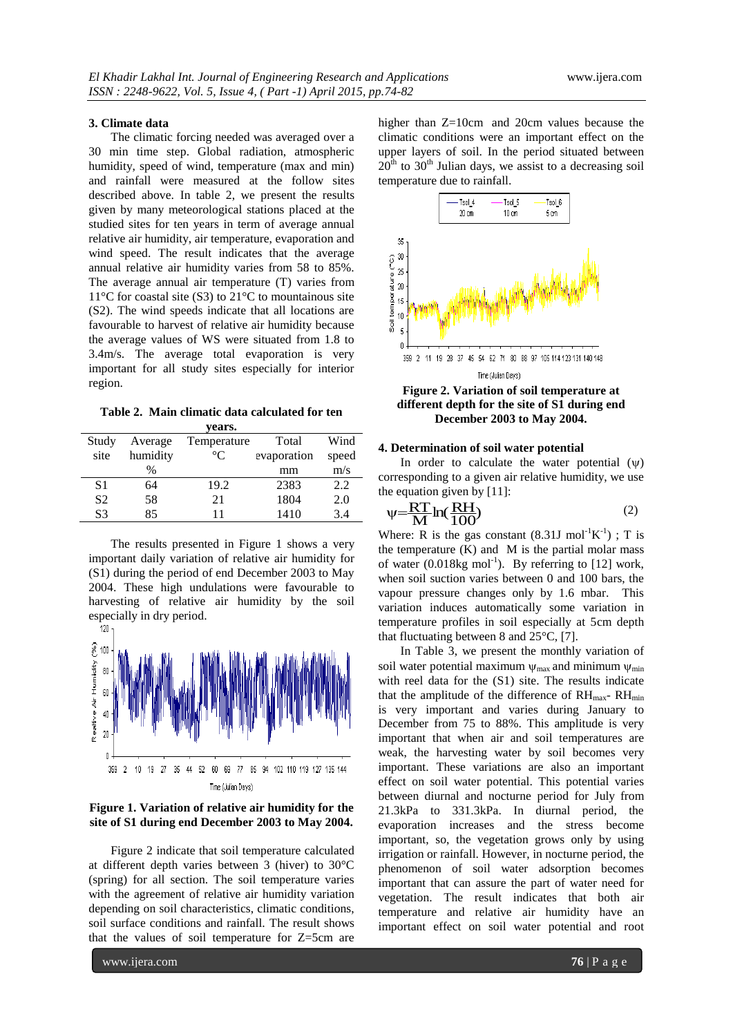#### **3. Climate data**

The climatic forcing needed was averaged over a 30 min time step. Global radiation, atmospheric humidity, speed of wind, temperature (max and min) and rainfall were measured at the follow sites described above. In table 2, we present the results given by many meteorological stations placed at the studied sites for ten years in term of average annual relative air humidity, air temperature, evaporation and wind speed. The result indicates that the average annual relative air humidity varies from 58 to 85%. The average annual air temperature (T) varies from 11°C for coastal site (S3) to 21°C to mountainous site (S2). The wind speeds indicate that all locations are favourable to harvest of relative air humidity because the average values of WS were situated from 1.8 to 3.4m/s. The average total evaporation is very important for all study sites especially for interior region.

**Table 2. Main climatic data calculated for ten years.**

|                |          | $- - - -$   |             |       |
|----------------|----------|-------------|-------------|-------|
| Study          | Average  | Temperature | Total       | Wind  |
| site           | humidity | $^{\circ}C$ | evaporation | speed |
|                | %        |             | mm          | m/s   |
| S1             | 64       | 19.2        | 2383        | 2.2   |
| S <sub>2</sub> | 58       | 21          | 1804        | 2.0   |
| S3             | 85       | 11          | 1410        | 3.4   |
|                |          |             |             |       |

The results presented in Figure 1 shows a very important daily variation of relative air humidity for (S1) during the period of end December 2003 to May 2004. These high undulations were favourable to harvesting of relative air humidity by the soil especially in dry period.<br> $\frac{120}{1}$ 



## **Figure 1. Variation of relative air humidity for the site of S1 during end December 2003 to May 2004.**

Figure 2 indicate that soil temperature calculated at different depth varies between 3 (hiver) to 30°C (spring) for all section. The soil temperature varies with the agreement of relative air humidity variation depending on soil characteristics, climatic conditions, soil surface conditions and rainfall. The result shows that the values of soil temperature for Z=5cm are

higher than Z=10cm and 20cm values because the climatic conditions were an important effect on the upper layers of soil. In the period situated between  $20<sup>th</sup>$  to  $30<sup>th</sup>$  Julian days, we assist to a decreasing soil temperature due to rainfall.



**Figure 2. Variation of soil temperature at different depth for the site of S1 during end December 2003 to May 2004.**

#### **4. Determination of soil water potential**

In order to calculate the water potential  $(\psi)$ corresponding to a given air relative humidity, we use the equation given by [11]:

$$
\psi = \frac{RT}{M} \ln(\frac{RH}{100})\tag{2}
$$

Where: R is the gas constant  $(8.31J \text{ mol}^{-1}\text{K}^{-1})$ ; T is the temperature  $(K)$  and  $M$  is the partial molar mass of water  $(0.018 \text{kg mol}^{-1})$ . By referring to [12] work, when soil suction varies between 0 and 100 bars, the vapour pressure changes only by 1.6 mbar. This variation induces automatically some variation in temperature profiles in soil especially at 5cm depth that fluctuating between 8 and 25°C, [7].

In Table 3, we present the monthly variation of soil water potential maximum  $\psi_{\text{max}}$  and minimum  $\psi_{\text{min}}$ with reel data for the (S1) site. The results indicate that the amplitude of the difference of  $RH_{\text{max}}$ -  $RH_{\text{min}}$ is very important and varies during January to December from 75 to 88%. This amplitude is very important that when air and soil temperatures are weak, the harvesting water by soil becomes very important. These variations are also an important effect on soil water potential. This potential varies between diurnal and nocturne period for July from 21.3kPa to 331.3kPa. In diurnal period, the evaporation increases and the stress become important, so, the vegetation grows only by using irrigation or rainfall. However, in nocturne period, the phenomenon of soil water adsorption becomes important that can assure the part of water need for vegetation. The result indicates that both air temperature and relative air humidity have an important effect on soil water potential and root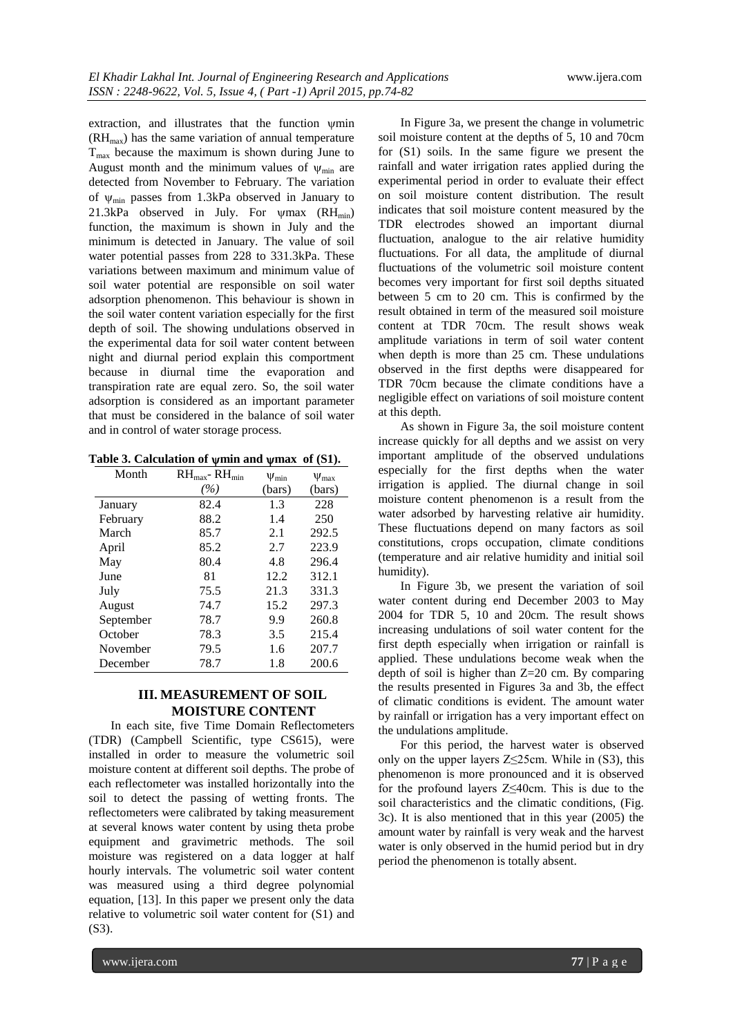extraction, and illustrates that the function  $\psi$ min  $(RH_{\text{max}})$  has the same variation of annual temperature  $T<sub>max</sub>$  because the maximum is shown during June to August month and the minimum values of  $\psi_{\text{min}}$  are detected from November to February. The variation of  $\psi_{\text{min}}$  passes from 1.3kPa observed in January to 21.3kPa observed in July. For  $\psi$ max (RH<sub>min</sub>) function, the maximum is shown in July and the minimum is detected in January. The value of soil water potential passes from 228 to 331.3kPa. These variations between maximum and minimum value of soil water potential are responsible on soil water adsorption phenomenon. This behaviour is shown in the soil water content variation especially for the first depth of soil. The showing undulations observed in the experimental data for soil water content between night and diurnal period explain this comportment because in diurnal time the evaporation and transpiration rate are equal zero. So, the soil water adsorption is considered as an important parameter that must be considered in the balance of soil water and in control of water storage process.

|  | Table 3. Calculation of $\psi$ min and $\psi$ max of (S1). |  |  |  |
|--|------------------------------------------------------------|--|--|--|
|--|------------------------------------------------------------|--|--|--|

| Month     | $RH_{\text{max}}$ - $RH_{\text{min}}$ | $\Psi_{\min}$ | $V_{\text{max}}$ |
|-----------|---------------------------------------|---------------|------------------|
|           | (%)                                   | (bars)        | (bars)           |
| January   | 82.4                                  | 1.3           | 228              |
| February  | 88.2                                  | 1.4           | 250              |
| March     | 85.7                                  | 2.1           | 292.5            |
| April     | 85.2                                  | 2.7           | 223.9            |
| May       | 80.4                                  | 4.8           | 296.4            |
| June      | 81                                    | 12.2          | 312.1            |
| July      | 75.5                                  | 21.3          | 331.3            |
| August    | 74.7                                  | 15.2          | 297.3            |
| September | 78.7                                  | 9.9           | 260.8            |
| October   | 78.3                                  | 3.5           | 215.4            |
| November  | 79.5                                  | 1.6           | 207.7            |
| December  | 78.7                                  | 1.8           | 200.6            |

# **III. MEASUREMENT OF SOIL MOISTURE CONTENT**

In each site, five Time Domain Reflectometers (TDR) (Campbell Scientific, type CS615), were installed in order to measure the volumetric soil moisture content at different soil depths. The probe of each reflectometer was installed horizontally into the soil to detect the passing of wetting fronts. The reflectometers were calibrated by taking measurement at several knows water content by using theta probe equipment and gravimetric methods. The soil moisture was registered on a data logger at half hourly intervals. The volumetric soil water content was measured using a third degree polynomial equation, [13]. In this paper we present only the data relative to volumetric soil water content for (S1) and (S3).

In Figure 3a, we present the change in volumetric soil moisture content at the depths of 5, 10 and 70cm for (S1) soils. In the same figure we present the rainfall and water irrigation rates applied during the experimental period in order to evaluate their effect on soil moisture content distribution. The result indicates that soil moisture content measured by the TDR electrodes showed an important diurnal fluctuation, analogue to the air relative humidity fluctuations. For all data, the amplitude of diurnal fluctuations of the volumetric soil moisture content becomes very important for first soil depths situated between 5 cm to 20 cm. This is confirmed by the result obtained in term of the measured soil moisture content at TDR 70cm. The result shows weak amplitude variations in term of soil water content when depth is more than 25 cm. These undulations observed in the first depths were disappeared for TDR 70cm because the climate conditions have a negligible effect on variations of soil moisture content at this depth.

As shown in Figure 3a, the soil moisture content increase quickly for all depths and we assist on very important amplitude of the observed undulations especially for the first depths when the water irrigation is applied. The diurnal change in soil moisture content phenomenon is a result from the water adsorbed by harvesting relative air humidity. These fluctuations depend on many factors as soil constitutions, crops occupation, climate conditions (temperature and air relative humidity and initial soil humidity).

In Figure 3b, we present the variation of soil water content during end December 2003 to May 2004 for TDR 5, 10 and 20cm. The result shows increasing undulations of soil water content for the first depth especially when irrigation or rainfall is applied. These undulations become weak when the depth of soil is higher than Z=20 cm. By comparing the results presented in Figures 3a and 3b, the effect of climatic conditions is evident. The amount water by rainfall or irrigation has a very important effect on the undulations amplitude.

For this period, the harvest water is observed only on the upper layers  $Z \leq 25$ cm. While in (S3), this phenomenon is more pronounced and it is observed for the profound layers Z≤40cm. This is due to the soil characteristics and the climatic conditions, (Fig. 3c). It is also mentioned that in this year (2005) the amount water by rainfall is very weak and the harvest water is only observed in the humid period but in dry period the phenomenon is totally absent.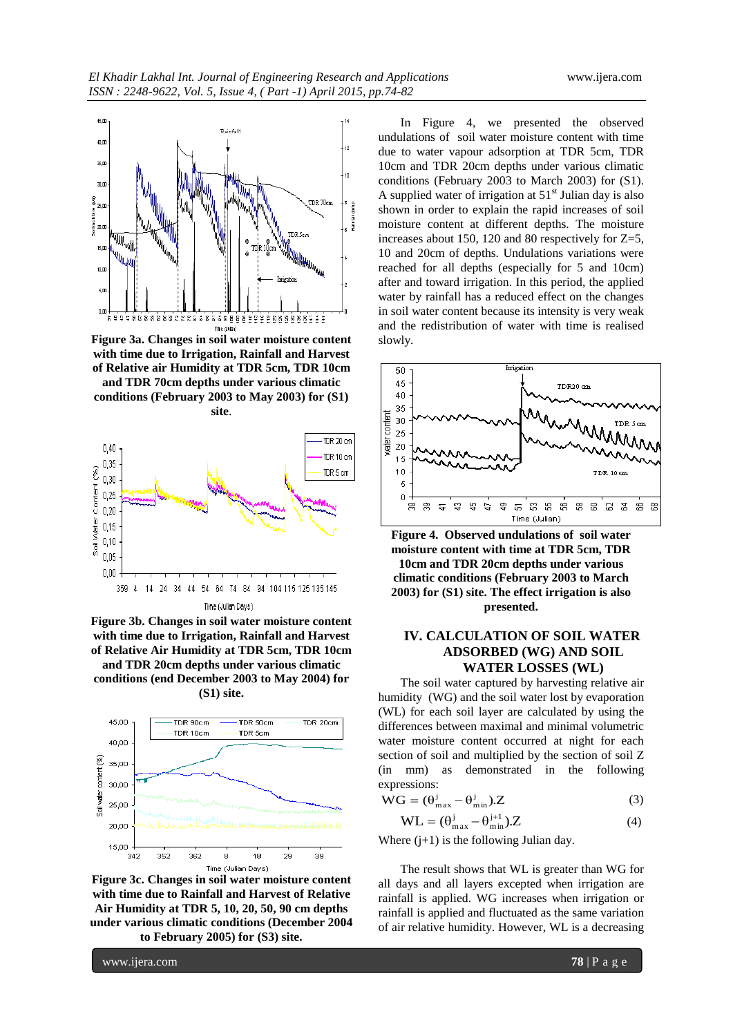

**Figure 3a. Changes in soil water moisture content with time due to Irrigation, Rainfall and Harvest of Relative air Humidity at TDR 5cm, TDR 10cm and TDR 70cm depths under various climatic** 

**conditions (February 2003 to May 2003) for (S1) site**.



**Figure 3b. Changes in soil water moisture content with time due to Irrigation, Rainfall and Harvest of Relative Air Humidity at TDR 5cm, TDR 10cm and TDR 20cm depths under various climatic conditions (end December 2003 to May 2004) for (S1) site.**



**Figure 3c. Changes in soil water moisture content with time due to Rainfall and Harvest of Relative Air Humidity at TDR 5, 10, 20, 50, 90 cm depths under various climatic conditions (December 2004 to February 2005) for (S3) site.**

In Figure 4, we presented the observed undulations of soil water moisture content with time due to water vapour adsorption at TDR 5cm, TDR 10cm and TDR 20cm depths under various climatic conditions (February 2003 to March 2003) for (S1). A supplied water of irrigation at  $51<sup>st</sup>$  Julian day is also shown in order to explain the rapid increases of soil moisture content at different depths. The moisture increases about 150, 120 and 80 respectively for Z=5, 10 and 20cm of depths. Undulations variations were reached for all depths (especially for 5 and 10cm) after and toward irrigation. In this period, the applied water by rainfall has a reduced effect on the changes in soil water content because its intensity is very weak and the redistribution of water with time is realised slowly.



**Figure 4. Observed undulations of soil water moisture content with time at TDR 5cm, TDR 10cm and TDR 20cm depths under various climatic conditions (February 2003 to March 2003) for (S1) site. The effect irrigation is also presented.**

# **IV. CALCULATION OF SOIL WATER ADSORBED (WG) AND SOIL WATER LOSSES (WL)**

The soil water captured by harvesting relative air humidity (WG) and the soil water lost by evaporation (WL) for each soil layer are calculated by using the differences between maximal and minimal volumetric water moisture content occurred at night for each section of soil and multiplied by the section of soil Z (in mm) as demonstrated in the following expressions:

$$
WG = (\theta_{\text{max}}^{j} - \theta_{\text{min}}^{j}).Z
$$
 (3)

$$
WL = (\theta_{\text{max}}^j - \theta_{\text{min}}^{j+1}).Z
$$
 (4)

Where  $(j+1)$  is the following Julian day.

The result shows that WL is greater than WG for all days and all layers excepted when irrigation are rainfall is applied. WG increases when irrigation or rainfall is applied and fluctuated as the same variation of air relative humidity. However, WL is a decreasing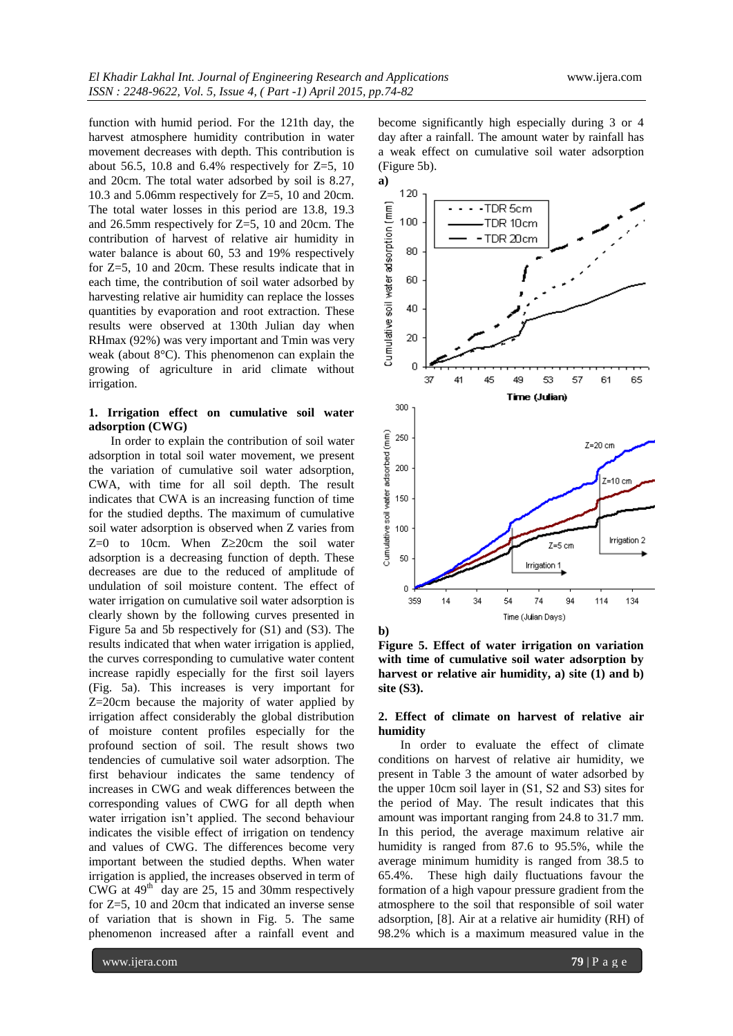function with humid period. For the 121th day, the harvest atmosphere humidity contribution in water movement decreases with depth. This contribution is about 56.5, 10.8 and 6.4% respectively for  $Z=5$ , 10 and 20cm. The total water adsorbed by soil is 8.27, 10.3 and 5.06mm respectively for Z=5, 10 and 20cm. The total water losses in this period are 13.8, 19.3 and 26.5mm respectively for Z=5, 10 and 20cm. The contribution of harvest of relative air humidity in water balance is about 60, 53 and 19% respectively for Z=5, 10 and 20cm. These results indicate that in each time, the contribution of soil water adsorbed by harvesting relative air humidity can replace the losses quantities by evaporation and root extraction. These results were observed at 130th Julian day when RHmax (92%) was very important and Tmin was very weak (about 8°C). This phenomenon can explain the growing of agriculture in arid climate without irrigation.

# **1. Irrigation effect on cumulative soil water adsorption (CWG)**

In order to explain the contribution of soil water adsorption in total soil water movement, we present the variation of cumulative soil water adsorption, CWA, with time for all soil depth. The result indicates that CWA is an increasing function of time for the studied depths. The maximum of cumulative soil water adsorption is observed when Z varies from  $Z=0$  to 10cm. When  $Z\geq 20$ cm the soil water adsorption is a decreasing function of depth. These decreases are due to the reduced of amplitude of undulation of soil moisture content. The effect of water irrigation on cumulative soil water adsorption is clearly shown by the following curves presented in Figure 5a and 5b respectively for (S1) and (S3). The results indicated that when water irrigation is applied, the curves corresponding to cumulative water content increase rapidly especially for the first soil layers (Fig. 5a). This increases is very important for Z=20cm because the majority of water applied by irrigation affect considerably the global distribution of moisture content profiles especially for the profound section of soil. The result shows two tendencies of cumulative soil water adsorption. The first behaviour indicates the same tendency of increases in CWG and weak differences between the corresponding values of CWG for all depth when water irrigation isn't applied. The second behaviour indicates the visible effect of irrigation on tendency and values of CWG. The differences become very important between the studied depths. When water irrigation is applied, the increases observed in term of CWG at  $49<sup>th</sup>$  day are 25, 15 and 30mm respectively for Z=5, 10 and 20cm that indicated an inverse sense of variation that is shown in Fig. 5. The same phenomenon increased after a rainfall event and

become significantly high especially during 3 or 4 day after a rainfall. The amount water by rainfall has a weak effect on cumulative soil water adsorption (Figure 5b).



**b)**

**Figure 5. Effect of water irrigation on variation with time of cumulative soil water adsorption by harvest or relative air humidity, a) site (1) and b) site (S3).**

## **2. Effect of climate on harvest of relative air humidity**

In order to evaluate the effect of climate conditions on harvest of relative air humidity, we present in Table 3 the amount of water adsorbed by the upper 10cm soil layer in (S1, S2 and S3) sites for the period of May. The result indicates that this amount was important ranging from 24.8 to 31.7 mm. In this period, the average maximum relative air humidity is ranged from 87.6 to 95.5%, while the average minimum humidity is ranged from 38.5 to 65.4%. These high daily fluctuations favour the formation of a high vapour pressure gradient from the atmosphere to the soil that responsible of soil water adsorption, [8]. Air at a relative air humidity (RH) of 98.2% which is a maximum measured value in the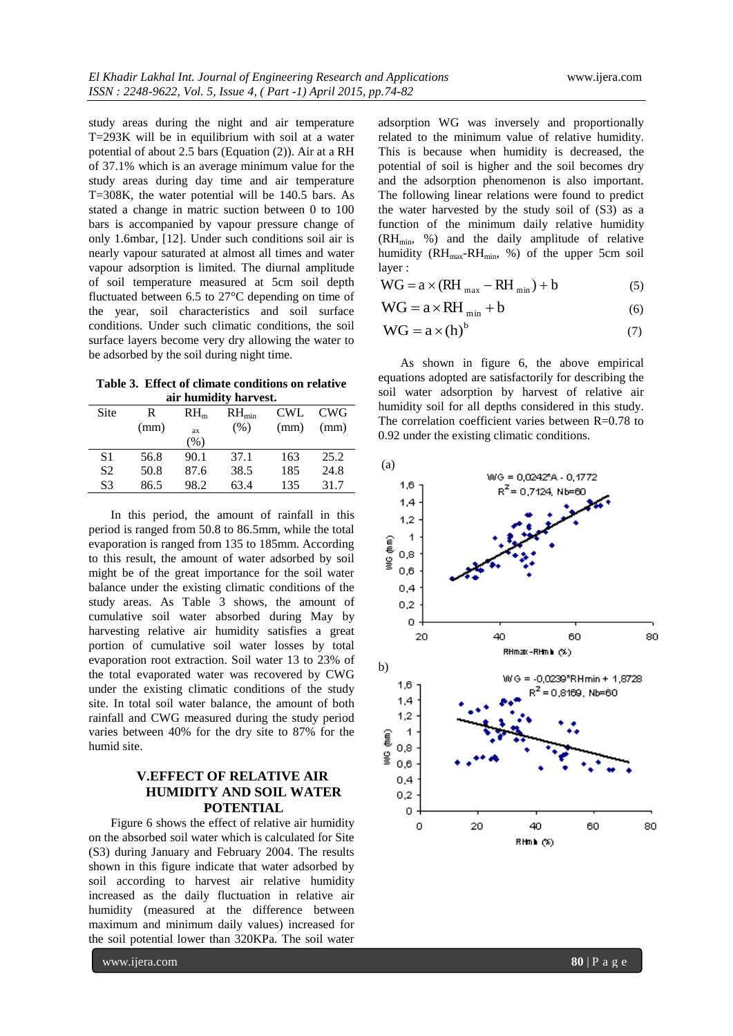study areas during the night and air temperature T=293K will be in equilibrium with soil at a water potential of about 2.5 bars (Equation (2)). Air at a RH of 37.1% which is an average minimum value for the study areas during day time and air temperature T=308K, the water potential will be 140.5 bars. As stated a change in matric suction between 0 to 100 bars is accompanied by vapour pressure change of only 1.6mbar, [12]. Under such conditions soil air is nearly vapour saturated at almost all times and water vapour adsorption is limited. The diurnal amplitude of soil temperature measured at 5cm soil depth fluctuated between 6.5 to 27°C depending on time of the year, soil characteristics and soil surface conditions. Under such climatic conditions, the soil surface layers become very dry allowing the water to be adsorbed by the soil during night time.

**Table 3. Effect of climate conditions on relative air humidity harvest.**

| Site | R    | RH <sub>m</sub> | $RH_{min}$ | <b>CWL</b> | <b>CWG</b> |  |  |  |
|------|------|-----------------|------------|------------|------------|--|--|--|
|      | (mm) | ax              | (% )       | (mm)       | (mm)       |  |  |  |
|      |      | $\frac{9}{6}$   |            |            |            |  |  |  |
| S1   | 56.8 | 90.1            | 37.1       | 163        | 25.2       |  |  |  |
| S2   | 50.8 | 87.6            | 38.5       | 185        | 24.8       |  |  |  |
| S3   | 86.5 | 98.2            | 63.4       | 135        | 31.7       |  |  |  |

In this period, the amount of rainfall in this period is ranged from 50.8 to 86.5mm, while the total evaporation is ranged from 135 to 185mm. According to this result, the amount of water adsorbed by soil might be of the great importance for the soil water balance under the existing climatic conditions of the study areas. As Table 3 shows, the amount of cumulative soil water absorbed during May by harvesting relative air humidity satisfies a great portion of cumulative soil water losses by total evaporation root extraction. Soil water 13 to 23% of the total evaporated water was recovered by CWG under the existing climatic conditions of the study site. In total soil water balance, the amount of both rainfall and CWG measured during the study period varies between 40% for the dry site to 87% for the humid site.

# **V.EFFECT OF RELATIVE AIR HUMIDITY AND SOIL WATER POTENTIAL**

Figure 6 shows the effect of relative air humidity on the absorbed soil water which is calculated for Site (S3) during January and February 2004. The results shown in this figure indicate that water adsorbed by soil according to harvest air relative humidity increased as the daily fluctuation in relative air humidity (measured at the difference between maximum and minimum daily values) increased for the soil potential lower than 320KPa. The soil water

This is because when humidity is decreased, the potential of soil is higher and the soil becomes dry and the adsorption phenomenon is also important. The following linear relations were found to predict the water harvested by the study soil of (S3) as a function of the minimum daily relative humidity (RH<sub>min</sub>, %) and the daily amplitude of relative humidity (RH<sub>max</sub>-RH<sub>min</sub>, %) of the upper 5cm soil layer :  $WG = a \times (RH_{max} - RH_{min}) + b$  (5)  $WG = a \times RH_{min} + b$  (6)

$$
WG = a \times (h)^b \tag{7}
$$

adsorption WG was inversely and proportionally related to the minimum value of relative humidity.

As shown in figure 6, the above empirical equations adopted are satisfactorily for describing the soil water adsorption by harvest of relative air humidity soil for all depths considered in this study. The correlation coefficient varies between R=0.78 to 0.92 under the existing climatic conditions.

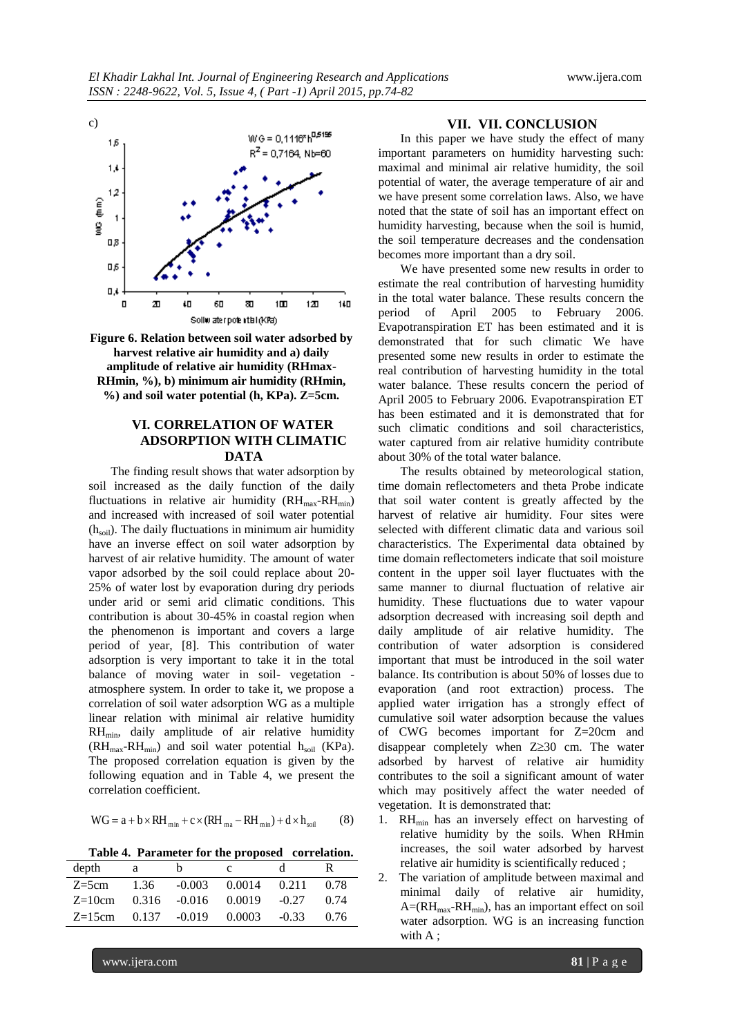

**Figure 6. Relation between soil water adsorbed by harvest relative air humidity and a) daily amplitude of relative air humidity (RHmax-RHmin, %), b) minimum air humidity (RHmin, %) and soil water potential (h, KPa). Z=5cm.**

# **VI. CORRELATION OF WATER ADSORPTION WITH CLIMATIC DATA**

The finding result shows that water adsorption by soil increased as the daily function of the daily fluctuations in relative air humidity  $(RH_{max}-RH_{min})$ and increased with increased of soil water potential (h<sub>soil</sub>). The daily fluctuations in minimum air humidity have an inverse effect on soil water adsorption by harvest of air relative humidity. The amount of water vapor adsorbed by the soil could replace about 20- 25% of water lost by evaporation during dry periods under arid or semi arid climatic conditions. This contribution is about 30-45% in coastal region when the phenomenon is important and covers a large period of year, [8]. This contribution of water adsorption is very important to take it in the total balance of moving water in soil- vegetation atmosphere system. In order to take it, we propose a correlation of soil water adsorption WG as a multiple linear relation with minimal air relative humidity RHmin, daily amplitude of air relative humidity  $(RH_{max}-RH_{min})$  and soil water potential  $h_{soil}$  (KPa). The proposed correlation equation is given by the following equation and in Table 4, we present the correlation coefficient.

$$
WG = a + b \times RH_{min} + c \times (RH_{ma} - RH_{min}) + d \times h_{soil}
$$
 (8)

**Table 4. Parameter for the proposed correlation.**

| depth    | a    | n.       | $\mathbf{c}$             | d.      | ĸ.   |
|----------|------|----------|--------------------------|---------|------|
| $Z=5cm$  | 1.36 | $-0.003$ | 0.0014 0.211             |         | 0.78 |
| $Z=10cm$ |      |          | 0.316 -0.016 0.0019      | $-0.27$ | 0.74 |
| $Z=15cm$ |      |          | $0.137 - 0.019 - 0.0003$ | $-0.33$ | 0.76 |

#### **VII. VII. CONCLUSION**

In this paper we have study the effect of many important parameters on humidity harvesting such: maximal and minimal air relative humidity, the soil potential of water, the average temperature of air and we have present some correlation laws. Also, we have noted that the state of soil has an important effect on humidity harvesting, because when the soil is humid, the soil temperature decreases and the condensation becomes more important than a dry soil.

We have presented some new results in order to estimate the real contribution of harvesting humidity in the total water balance. These results concern the period of April 2005 to February 2006. Evapotranspiration ET has been estimated and it is demonstrated that for such climatic We have presented some new results in order to estimate the real contribution of harvesting humidity in the total water balance. These results concern the period of April 2005 to February 2006. Evapotranspiration ET has been estimated and it is demonstrated that for such climatic conditions and soil characteristics, water captured from air relative humidity contribute about 30% of the total water balance.

The results obtained by meteorological station, time domain reflectometers and theta Probe indicate that soil water content is greatly affected by the harvest of relative air humidity. Four sites were selected with different climatic data and various soil characteristics. The Experimental data obtained by time domain reflectometers indicate that soil moisture content in the upper soil layer fluctuates with the same manner to diurnal fluctuation of relative air humidity. These fluctuations due to water vapour adsorption decreased with increasing soil depth and daily amplitude of air relative humidity. The contribution of water adsorption is considered important that must be introduced in the soil water balance. Its contribution is about 50% of losses due to evaporation (and root extraction) process. The applied water irrigation has a strongly effect of cumulative soil water adsorption because the values of CWG becomes important for Z=20cm and disappear completely when  $Z \geq 30$  cm. The water adsorbed by harvest of relative air humidity contributes to the soil a significant amount of water which may positively affect the water needed of vegetation. It is demonstrated that:

- 1.  $RH_{min}$  has an inversely effect on harvesting of relative humidity by the soils. When RHmin increases, the soil water adsorbed by harvest relative air humidity is scientifically reduced ;
- 2. The variation of amplitude between maximal and minimal daily of relative air humidity,  $A=(RH<sub>max</sub>-RH<sub>min</sub>)$ , has an important effect on soil water adsorption. WG is an increasing function with A;

www.ijera.com **81** | P a g e